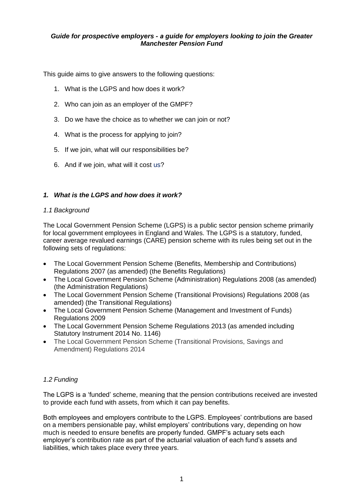#### *Guide for prospective employers - a guide for employers looking to join the Greater Manchester Pension Fund*

This guide aims to give answers to the following questions:

- 1. What is the LGPS and how does it work?
- 2. Who can join as an employer of the GMPF?
- 3. Do we have the choice as to whether we can join or not?
- 4. What is the process for applying to join?
- 5. If we join, what will our responsibilities be?
- 6. And if we join, what will it cost us?

# *1. What is the LGPS and how does it work?*

#### *1.1 Background*

The Local Government Pension Scheme (LGPS) is a public sector pension scheme primarily for local government employees in England and Wales. The LGPS is a statutory, funded, career average revalued earnings (CARE) pension scheme with its rules being set out in the following sets of regulations:

- The Local Government Pension Scheme (Benefits, Membership and Contributions) Regulations 2007 (as amended) (the Benefits Regulations)
- The Local Government Pension Scheme (Administration) Regulations 2008 (as amended) (the Administration Regulations)
- The Local Government Pension Scheme (Transitional Provisions) Regulations 2008 (as amended) (the Transitional Regulations)
- The Local Government Pension Scheme (Management and Investment of Funds) Regulations 2009
- The Local Government Pension Scheme Regulations 2013 (as amended including Statutory Instrument 2014 No. 1146)
- The Local Government Pension Scheme (Transitional Provisions, Savings and Amendment) Regulations 2014

# *1.2 Funding*

The LGPS is a 'funded' scheme, meaning that the pension contributions received are invested to provide each fund with assets, from which it can pay benefits.

Both employees and employers contribute to the LGPS. Employees' contributions are based on a members pensionable pay, whilst employers' contributions vary, depending on how much is needed to ensure benefits are properly funded. GMPF's actuary sets each employer's contribution rate as part of the actuarial valuation of each fund's assets and liabilities, which takes place every three years.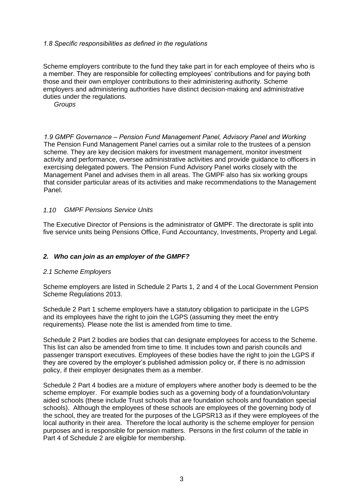## *1.8 Specific responsibilities as defined in the regulations*

Scheme employers contribute to the fund they take part in for each employee of theirs who is a member. They are responsible for collecting employees' contributions and for paying both those and their own employer contributions to their administering authority. Scheme employers and administering authorities have distinct decision making and administrative duties under the regulations.

### *1.9 GMPF Governance – Pension Fund Management Panel, Advisory Panel and Working Groups*

The Pension Fund Management Panel carries out a similar role to the trustees of a pension scheme. They are key decision makers for investment management, monitor investment activity and performance, oversee administrative activities and provide guidance to officers in exercising delegated powers. The Pension Fund Advisory Panel works closely with the Management Panel and advises them in all areas. The GMPF also has six working groups that consider particular areas of its activities and make recommendations to the Management Panel.

#### *1.10 GMPF pensions service units*

The Executive Director of Pensions is the administrator of GMPF. The directorate is split into five service units being Pensions Rffice, Fund Dccountancy, Investments, Property and Legal.

#### *2. Who can join as an employer of the GMPF?*

#### *2.1 Scheme employers*

Scheme employers are listed in Schedule 2 Parts 1, 2 and 4 of the Local Government Pension Scheme Regulations 2013.

Schedule 2 Part 1 scheme employers have a statutory obligation to participate in the LGPS and its employees have the right to join the LGPS (assuming they meet the entry requirements). Please note the list is amended from time to time.

Schedule 2 Part 2 bodies are bodies that can designate employees for access to the Scheme. This list can also be amended from time to time. It includes town and parish councils and passenger transport executives. Employees of these bodies have the right to join the LGPS if they are covered by the employer's published admission policy or, if there is no admission policy, if their employer designates them as a member.

Schedule 2 Part 4 bodies are a mixture of employers where another body is deemed to be the scheme employer. For example bodies such as a governing body of a foundation/voluntary aided schools (these include Trust schools that are foundation schools and foundation special schools). Although the employees of these schools are employees of the governing body of the school, they are treated for the purposes of the LGPSR13 as if they were employees of the local authority in their area. Therefore the local authority is the scheme employer for pension purposes and is responsible for pension matters. Persons in the first column of the table in Part 4 of Schedule 2 are eligible for membership.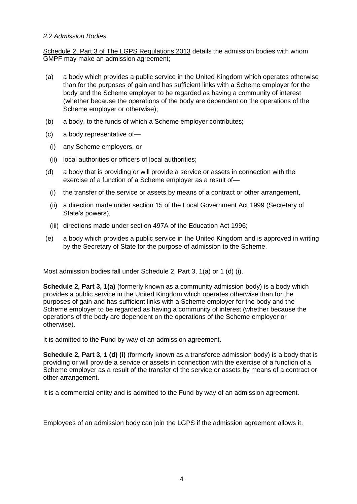### *2.2 Admission Bodies*

Schedule 2, P[art 3 of The LGPS Regulations 2013](http://www.lgpsregs.org/index.php/schedule-2?showall=&start=2) details the admission bodies with whom GMPF may make an admission agreement;

- (a) a body which provides a public service in the United Kingdom which operates otherwise than for the purposes of gain and has sufficient links with a Scheme employer for the body and the Scheme employer to be regarded as having a community of interest (whether because the operations of the body are dependent on the operations of the Scheme employer or otherwise);
- (b) a body, to the funds of which a Scheme employer contributes;
- (c) a body representative of—
- (i) any Scheme employers, or
- (ii) local authorities or officers of local authorities;
- (d) a body that is providing or will provide a service or assets in connection with the exercise of a function of a Scheme employer as a result of—
	- (i) the transfer of the service or assets by means of a contract or other arrangement,
	- (ii) a direction made under section 15 of the Local Government Act 1999 (Secretary of State's powers),
	- (iii) directions made under section 497A of the Education Act 1996;
- (e) a body which provides a public service in the United Kingdom and is approved in writing by the Secretary of State for the purpose of admission to the Scheme.

Most admission bodies fall under Schedule 2, Part 3, 1(a) or 1 (d) (i).

**Schedule 2, Part 3, 1(a)** (formerly known as a community admission body) is a body which provides a public service in the United Kingdom which operates otherwise than for the purposes of gain and has sufficient links with a Scheme employer for the body and the Scheme employer to be regarded as having a community of interest (whether because the operations of the body are dependent on the operations of the Scheme employer or otherwise).

It is admitted to GMPF by way of an admission agreement.

**Schedule 2, Part 3, 1 (d) (i)** (formerly known as a transferee admission body) is a body that is providing or will provide a service or assets in connection with the exercise of a function of a Scheme employer as a result of the transfer of the service or assets by means of a contract or other arrangement.

It is a commercial entity and is admitted to GMPF by way of an admission agreement.

Employees of an admission body can join the LGPS if the admission agreement allows it.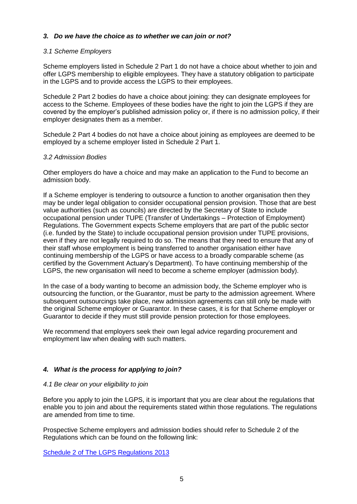## *3. Do we have the choice as to whether we can join or not?*

#### *3.1 Scheme employers*

Scheme employers listed in Schedule 2 Part 1 do not have a choice about whether to join and offer LGPS membership to eligible employees. They have a statutory obligation to participate in the LGPS and to provide access the LGPS to their employees.

Schedule 2 Part 2 bodies do have a choice about joining: they can designate employees for access to the Scheme. Employees of these bodies have the right to join the LGPS if they are covered by the employer's published admission policy or, if there is no admission policy, if their employer designates them as a member.

Schedule 2 Part 4 bodies do not have a choice about joining as employees are deemed to be employed by a scheme employer listed in Schedule 2 Part 1.

#### *3.2 Admission bodies*

Other employers do have a choice and may make an application to GMPF to become an admission body.

If a Scheme employer is tendering to outsource a function to another organisation then they may be under legal obligation to consider occupational pension provision. Those that are best value authorities (such as councils) are directed by the Secretary of State to include occupational pension under TUPE (Transfer of Undertakings – Protection of Employment) Regulations. The Government expects Scheme employers that are part of the public sector (i.e. funded by the State) to include occupational pension provision under TUPE provisions, even if they are not legally required to do so. The means that they need to ensure that any of their staff whose employment is being transferred to another organisation either have continuing membership of the LGPS or have access to a broadly comparable scheme (as certified by the Government Actuary's Department). To have continuing membership of the LGPS, the new organisation will need to become a scheme employer (admission body).

In the case of a body wanting to become an admission body, the Scheme employer who is outsourcing the function, or the Guarantor, must be party to the admission agreement. Where subsequent outsourcings take place, new admission agreements can still only be made with the original Scheme employer or Guarantor. In these cases, it is for that Scheme employer or Guarantor to decide if they must still provide pension protection for those employees.

We recommend that employers seek their own legal advice regarding procurement and employment law when dealing with such matters.

#### *4. What is the process for applying to join?*

#### *4.1 Be clear on your eligibility to join*

Before you apply to join the LGPS, it is important that you are clear about the regulations that enable you to join and about the requirements stated within those regulations. The regulations are amended from time to time.

Prospective Scheme employers and admission bodies should refer to Schedule 2 of the Regulations which can be found on the following link:

[Schedule 2 of The LGPS Regulations 2013](http://www.lgpsregs.org/index.php/schedule-2)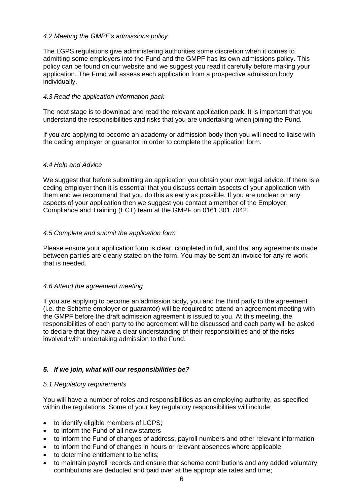### *4.2 Meeting the GMPF's admissions policy*

The LGPS regulations give administering authorities some discretion when it comes to admitting some employers and GMPF has its own admissions policy. This policy can be found on our website and we suggest you read it carefully before making your application. GMPF will assess each application from a prospective admission body individually.

## *4.3 Read the application information pack*

The next stage is to download and read the relevant application pack. It is important that you understand the responsibilities and risks that you are undertaking when joining GMPF.

If you are applying to become an academy or admission body then you will need to liaise with the ceding employer or guarantor in order to complete the application form.

#### *4.4 Help and advice*

We suggest that before submitting an application you obtain your own legal advice. If there is a ceding employer then it is essential that you discuss certain aspects of your application with them and we recommend that you do this as early as possible. If you are unclear on any aspects of your application then we suggest you contact a member of the Employer Admissions team at GMPF on 0161 301 7042.

#### *4.5 Complete and submit the application form*

Please ensure your application form is clear, completed in full, and that any agreements made between parties are clearly stated on the form. You may be sent an invoice for any re-work that is needed.

#### *4.6 Attend the agreement meeting*

If you are applying to become an admission body, you and the third party to the agreement (i.e. the Scheme employer or guarantor) will be required to attend an agreement meeting with the GMPF before the draft admission agreement is issued to you. At this meeting, the responsibilities of each party to the agreement will be discussed and each party will be asked to declare that they have a clear understanding of their responsibilities and of the risks involved with undertaking admission to GMPF.

#### *5. If we join, what will our responsibilities be?*

#### *5.1 Regulatory requirements*

You will have a number of roles and responsibilities as an employing authority, as specified within the regulations. Some of your key regulatory responsibilities will include:

- to identify eligible members of LGPS;
- to inform GMPF of all new starters
- to inform GMPF of changes of address, payroll numbers and other relevant information
- to inform GMPF of changes in hours or relevant absences where applicable
- to determine entitlement to benefits:
- to maintain payroll records and ensure that scheme contributions and any added voluntary contributions are deducted and paid over at the appropriate rates and time;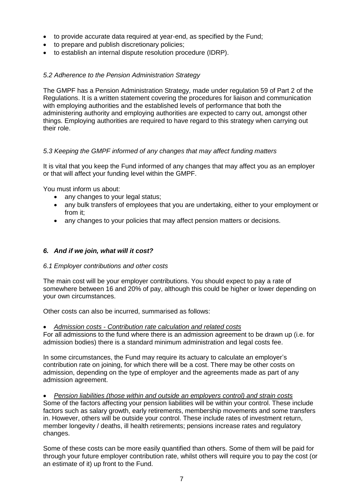- to provide accurate data required through monthly data collection and at year end, as specified by GMPF;
- to prepare and publish discretionary policies;
- to establish an internal dispute resolution procedure (IDRP).

## *5.2 Adherence to the Pension Administration Strategy*

The GMPF has a Pension Administration Strategy, made under regulation 59 of Part 2 of the Regulations. It is a written statement covering the procedures for liaison and communication with employing authorities and the established levels of performance that both the administering authority and employing authorities are expected to carry out, amongst other things. Employing authorities are required to have regard to this strategy when carrying out their role.

## *5.3 Keeping the GMPF informed of any changes that may affect funding matters*

It is vital that you keep GMPF informed of any changes that may affect you as an employer or that will affect your funding level within the GMPF.

You must inform us about:

- any changes to your legal status;
- any bulk transfers of employees that you are undertaking, either to your employment or from it;
- any changes to your policies that may affect pension matters or decisions.

## *6. And if we join, what will it cost?*

#### *6.1 Employer contributions and other costs*

The main cost will be your employer contributions. You should expect to pay a rate of somewhere between 16 and 20% of pay, although this could be higher or lower depending on your own circumstances.

Other costs can also be incurred, summarised as follows:

#### *Admission costs - contribution rate calculation and related costs*

For all admissions to the fund where there is an admission agreement to be drawn up (ie for admission bodies) there is a standard minimum administration and legal costs fee.

In some circumstances, GMPF may require its actuary to calculate an employer's contribution rate on joining, for which there will be a cost. There may be other costs on admission, depending on the type of employer and the agreements made as part of any admission agreement.

 *Pension liabilities (those within and outside an employers control) and strain costs* Some of the factors affecting your pension liabilities will be within your control. These include factors such as salary growth, early retirements, membership movements and some transfers in. However, others will be outside your control. These include rates of investment return, member longevity/deaths, ill health retirements; pensions increase rates and regulatory changes.

Some of these costs can be more easily quantified than others. Some of them will be paid for through your future employer contribution rate, whilst others will require you to pay the cost (or an estimate of it) up front.